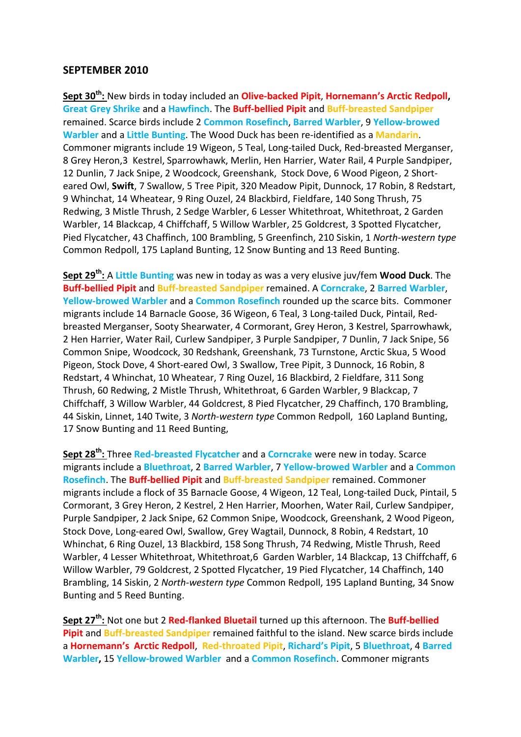## **SEPTEMBER 2010**

**Sept 30th:** New birds in today included an **Olive-backed Pipit**, **Hornemann's Arctic Redpoll, Great Grey Shrike** and a **Hawfinch**. The **Buff-bellied Pipit** and **Buff-breasted Sandpiper**  remained. Scarce birds include 2 **Common Rosefinch**, **Barred Warbler**, 9 **Yellow-browed Warbler** and a **Little Bunting**. The Wood Duck has been re-identified as a **Mandarin**. Commoner migrants include 19 Wigeon, 5 Teal, Long-tailed Duck, Red-breasted Merganser, 8 Grey Heron,3 Kestrel, Sparrowhawk, Merlin, Hen Harrier, Water Rail, 4 Purple Sandpiper, 12 Dunlin, 7 Jack Snipe, 2 Woodcock, Greenshank, Stock Dove, 6 Wood Pigeon, 2 Shorteared Owl, **Swift**, 7 Swallow, 5 Tree Pipit, 320 Meadow Pipit, Dunnock, 17 Robin, 8 Redstart, 9 Whinchat, 14 Wheatear, 9 Ring Ouzel, 24 Blackbird, Fieldfare, 140 Song Thrush, 75 Redwing, 3 Mistle Thrush, 2 Sedge Warbler, 6 Lesser Whitethroat, Whitethroat, 2 Garden Warbler, 14 Blackcap, 4 Chiffchaff, 5 Willow Warbler, 25 Goldcrest, 3 Spotted Flycatcher, Pied Flycatcher, 43 Chaffinch, 100 Brambling, 5 Greenfinch, 210 Siskin, 1 *North-western type* Common Redpoll, 175 Lapland Bunting, 12 Snow Bunting and 13 Reed Bunting.

**Sept 29th:** A **Little Bunting** was new in today as was a very elusive juv/fem **Wood Duck**. The **Buff-bellied Pipit** and **Buff-breasted Sandpiper** remained. A **Corncrake**, 2 **Barred Warbler**, **Yellow-browed Warbler** and a **Common Rosefinch** rounded up the scarce bits. Commoner migrants include 14 Barnacle Goose, 36 Wigeon, 6 Teal, 3 Long-tailed Duck, Pintail, Redbreasted Merganser, Sooty Shearwater, 4 Cormorant, Grey Heron, 3 Kestrel, Sparrowhawk, 2 Hen Harrier, Water Rail, Curlew Sandpiper, 3 Purple Sandpiper, 7 Dunlin, 7 Jack Snipe, 56 Common Snipe, Woodcock, 30 Redshank, Greenshank, 73 Turnstone, Arctic Skua, 5 Wood Pigeon, Stock Dove, 4 Short-eared Owl, 3 Swallow, Tree Pipit, 3 Dunnock, 16 Robin, 8 Redstart, 4 Whinchat, 10 Wheatear, 7 Ring Ouzel, 16 Blackbird, 2 Fieldfare, 311 Song Thrush, 60 Redwing, 2 Mistle Thrush, Whitethroat, 6 Garden Warbler, 9 Blackcap, 7 Chiffchaff, 3 Willow Warbler, 44 Goldcrest, 8 Pied Flycatcher, 29 Chaffinch, 170 Brambling, 44 Siskin, Linnet, 140 Twite, 3 *North-western type* Common Redpoll, 160 Lapland Bunting, 17 Snow Bunting and 11 Reed Bunting,

**Sept 28th:** Three **Red-breasted Flycatcher** and a **Corncrake** were new in today. Scarce migrants include a **Bluethroat**, 2 **Barred Warbler**, 7 **Yellow-browed Warbler** and a **Common Rosefinch**. The **Buff-bellied Pipit** and **Buff-breasted Sandpiper** remained. Commoner migrants include a flock of 35 Barnacle Goose, 4 Wigeon, 12 Teal, Long-tailed Duck, Pintail, 5 Cormorant, 3 Grey Heron, 2 Kestrel, 2 Hen Harrier, Moorhen, Water Rail, Curlew Sandpiper, Purple Sandpiper, 2 Jack Snipe, 62 Common Snipe, Woodcock, Greenshank, 2 Wood Pigeon, Stock Dove, Long-eared Owl, Swallow, Grey Wagtail, Dunnock, 8 Robin, 4 Redstart, 10 Whinchat, 6 Ring Ouzel, 13 Blackbird, 158 Song Thrush, 74 Redwing, Mistle Thrush, Reed Warbler, 4 Lesser Whitethroat, Whitethroat,6 Garden Warbler, 14 Blackcap, 13 Chiffchaff, 6 Willow Warbler, 79 Goldcrest, 2 Spotted Flycatcher, 19 Pied Flycatcher, 14 Chaffinch, 140 Brambling, 14 Siskin, 2 *North-western type* Common Redpoll, 195 Lapland Bunting, 34 Snow Bunting and 5 Reed Bunting.

**Sept 27th:** Not one but 2 **Red-flanked Bluetail** turned up this afternoon. The **Buff-bellied Pipit** and **Buff-breasted Sandpiper** remained faithful to the island. New scarce birds include a **Hornemann's Arctic Redpoll**, **Red-throated Pipit**, **Richard's Pipit**, 5 **Bluethroat**, 4 **Barred Warbler,** 15 **Yellow-browed Warbler** and a **Common Rosefinch**. Commoner migrants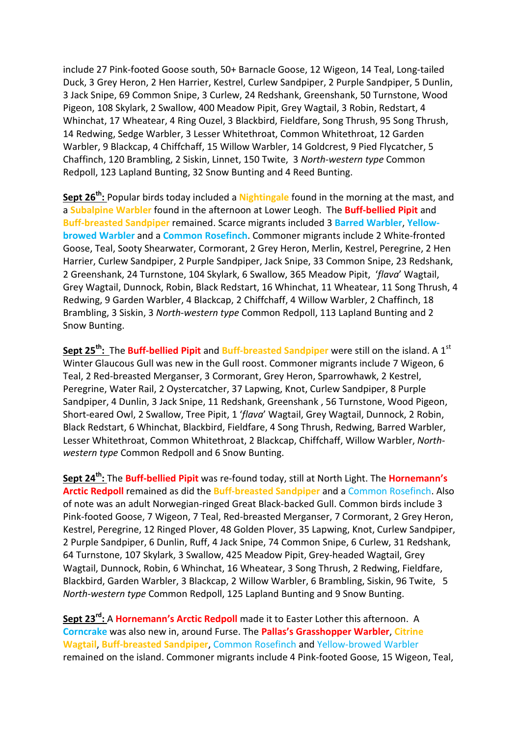include 27 Pink-footed Goose south, 50+ Barnacle Goose, 12 Wigeon, 14 Teal, Long-tailed Duck, 3 Grey Heron, 2 Hen Harrier, Kestrel, Curlew Sandpiper, 2 Purple Sandpiper, 5 Dunlin, 3 Jack Snipe, 69 Common Snipe, 3 Curlew, 24 Redshank, Greenshank, 50 Turnstone, Wood Pigeon, 108 Skylark, 2 Swallow, 400 Meadow Pipit, Grey Wagtail, 3 Robin, Redstart, 4 Whinchat, 17 Wheatear, 4 Ring Ouzel, 3 Blackbird, Fieldfare, Song Thrush, 95 Song Thrush, 14 Redwing, Sedge Warbler, 3 Lesser Whitethroat, Common Whitethroat, 12 Garden Warbler, 9 Blackcap, 4 Chiffchaff, 15 Willow Warbler, 14 Goldcrest, 9 Pied Flycatcher, 5 Chaffinch, 120 Brambling, 2 Siskin, Linnet, 150 Twite, 3 *North-western type* Common Redpoll, 123 Lapland Bunting, 32 Snow Bunting and 4 Reed Bunting.

**Sept 26th:** Popular birds today included a **Nightingale** found in the morning at the mast, and a **Subalpine Warbler** found in the afternoon at Lower Leogh. The **Buff-bellied Pipit** and **Buff-breasted Sandpiper** remained. Scarce migrants included 3 **Barred Warbler**, **Yellowbrowed Warbler** and a **Common Rosefinch**. Commoner migrants include 2 White-fronted Goose, Teal, Sooty Shearwater, Cormorant, 2 Grey Heron, Merlin, Kestrel, Peregrine, 2 Hen Harrier, Curlew Sandpiper, 2 Purple Sandpiper, Jack Snipe, 33 Common Snipe, 23 Redshank, 2 Greenshank, 24 Turnstone, 104 Skylark, 6 Swallow, 365 Meadow Pipit, '*flava*' Wagtail, Grey Wagtail, Dunnock, Robin, Black Redstart, 16 Whinchat, 11 Wheatear, 11 Song Thrush, 4 Redwing, 9 Garden Warbler, 4 Blackcap, 2 Chiffchaff, 4 Willow Warbler, 2 Chaffinch, 18 Brambling, 3 Siskin, 3 *North-western type* Common Redpoll, 113 Lapland Bunting and 2 Snow Bunting.

**Sept 25<sup>th</sup>: The Buff-bellied Pipit** and Buff-breasted Sandpiper were still on the island. A 1<sup>st</sup> Winter Glaucous Gull was new in the Gull roost. Commoner migrants include 7 Wigeon, 6 Teal, 2 Red-breasted Merganser, 3 Cormorant, Grey Heron, Sparrowhawk, 2 Kestrel, Peregrine, Water Rail, 2 Oystercatcher, 37 Lapwing, Knot, Curlew Sandpiper, 8 Purple Sandpiper, 4 Dunlin, 3 Jack Snipe, 11 Redshank, Greenshank , 56 Turnstone, Wood Pigeon, Short-eared Owl, 2 Swallow, Tree Pipit, 1 '*flava*' Wagtail, Grey Wagtail, Dunnock, 2 Robin, Black Redstart, 6 Whinchat, Blackbird, Fieldfare, 4 Song Thrush, Redwing, Barred Warbler, Lesser Whitethroat, Common Whitethroat, 2 Blackcap, Chiffchaff, Willow Warbler, *Northwestern type* Common Redpoll and 6 Snow Bunting.

**Sept 24th:** The **Buff-bellied Pipit** was re-found today, still at North Light. The **Hornemann's Arctic Redpoll** remained as did the **Buff-breasted Sandpiper** and a Common Rosefinch. Also of note was an adult Norwegian-ringed Great Black-backed Gull. Common birds include 3 Pink-footed Goose, 7 Wigeon, 7 Teal, Red-breasted Merganser, 7 Cormorant, 2 Grey Heron, Kestrel, Peregrine, 12 Ringed Plover, 48 Golden Plover, 35 Lapwing, Knot, Curlew Sandpiper, 2 Purple Sandpiper, 6 Dunlin, Ruff, 4 Jack Snipe, 74 Common Snipe, 6 Curlew, 31 Redshank, 64 Turnstone, 107 Skylark, 3 Swallow, 425 Meadow Pipit, Grey-headed Wagtail, Grey Wagtail, Dunnock, Robin, 6 Whinchat, 16 Wheatear, 3 Song Thrush, 2 Redwing, Fieldfare, Blackbird, Garden Warbler, 3 Blackcap, 2 Willow Warbler, 6 Brambling, Siskin, 96 Twite, 5 *North-western type* Common Redpoll, 125 Lapland Bunting and 9 Snow Bunting.

**Sept 23rd:** A **Hornemann's Arctic Redpoll** made it to Easter Lother this afternoon. A **Corncrake** was also new in, around Furse. The **Pallas's Grasshopper Warbler**, **Citrine Wagtail**, **Buff-breasted Sandpiper**, Common Rosefinch and Yellow-browed Warbler remained on the island. Commoner migrants include 4 Pink-footed Goose, 15 Wigeon, Teal,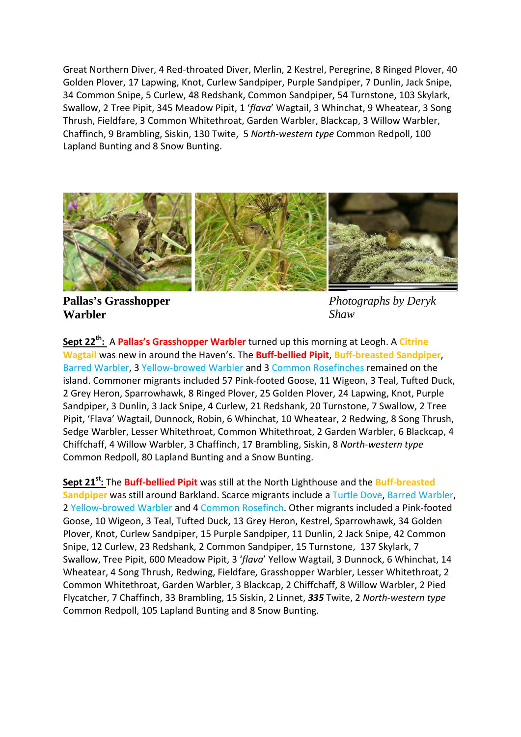Great Northern Diver, 4 Red-throated Diver, Merlin, 2 Kestrel, Peregrine, 8 Ringed Plover, 40 Golden Plover, 17 Lapwing, Knot, Curlew Sandpiper, Purple Sandpiper, 7 Dunlin, Jack Snipe, 34 Common Snipe, 5 Curlew, 48 Redshank, Common Sandpiper, 54 Turnstone, 103 Skylark, Swallow, 2 Tree Pipit, 345 Meadow Pipit, 1 '*flava*' Wagtail, 3 Whinchat, 9 Wheatear, 3 Song Thrush, Fieldfare, 3 Common Whitethroat, Garden Warbler, Blackcap, 3 Willow Warbler, Chaffinch, 9 Brambling, Siskin, 130 Twite, 5 *North-western type* Common Redpoll, 100 Lapland Bunting and 8 Snow Bunting.



**Pallas's Grasshopper Warbler**

*Photographs by Deryk Shaw*

**Sept 22th:** A **Pallas's Grasshopper Warbler** turned up this morning at Leogh. A **Citrine Wagtail** was new in around the Haven's. The **Buff-bellied Pipit**, **Buff-breasted Sandpiper**, Barred Warbler, 3 Yellow-browed Warbler and 3 Common Rosefinches remained on the island. Commoner migrants included 57 Pink-footed Goose, 11 Wigeon, 3 Teal, Tufted Duck, 2 Grey Heron, Sparrowhawk, 8 Ringed Plover, 25 Golden Plover, 24 Lapwing, Knot, Purple Sandpiper, 3 Dunlin, 3 Jack Snipe, 4 Curlew, 21 Redshank, 20 Turnstone, 7 Swallow, 2 Tree Pipit, 'Flava' Wagtail, Dunnock, Robin, 6 Whinchat, 10 Wheatear, 2 Redwing, 8 Song Thrush, Sedge Warbler, Lesser Whitethroat, Common Whitethroat, 2 Garden Warbler, 6 Blackcap, 4 Chiffchaff, 4 Willow Warbler, 3 Chaffinch, 17 Brambling, Siskin, 8 *North-western type* Common Redpoll, 80 Lapland Bunting and a Snow Bunting.

**Sept 21st:** The **Buff-bellied Pipit** was still at the North Lighthouse and the **Buff-breasted Sandpiper** was still around Barkland. Scarce migrants include a Turtle Dove, Barred Warbler, 2 Yellow-browed Warbler and 4 Common Rosefinch. Other migrants included a Pink-footed Goose, 10 Wigeon, 3 Teal, Tufted Duck, 13 Grey Heron, Kestrel, Sparrowhawk, 34 Golden Plover, Knot, Curlew Sandpiper, 15 Purple Sandpiper, 11 Dunlin, 2 Jack Snipe, 42 Common Snipe, 12 Curlew, 23 Redshank, 2 Common Sandpiper, 15 Turnstone, 137 Skylark, 7 Swallow, Tree Pipit, 600 Meadow Pipit, 3 '*flava*' Yellow Wagtail, 3 Dunnock, 6 Whinchat, 14 Wheatear, 4 Song Thrush, Redwing, Fieldfare, Grasshopper Warbler, Lesser Whitethroat, 2 Common Whitethroat, Garden Warbler, 3 Blackcap, 2 Chiffchaff, 8 Willow Warbler, 2 Pied Flycatcher, 7 Chaffinch, 33 Brambling, 15 Siskin, 2 Linnet, *335* Twite, 2 *North-western type* Common Redpoll, 105 Lapland Bunting and 8 Snow Bunting.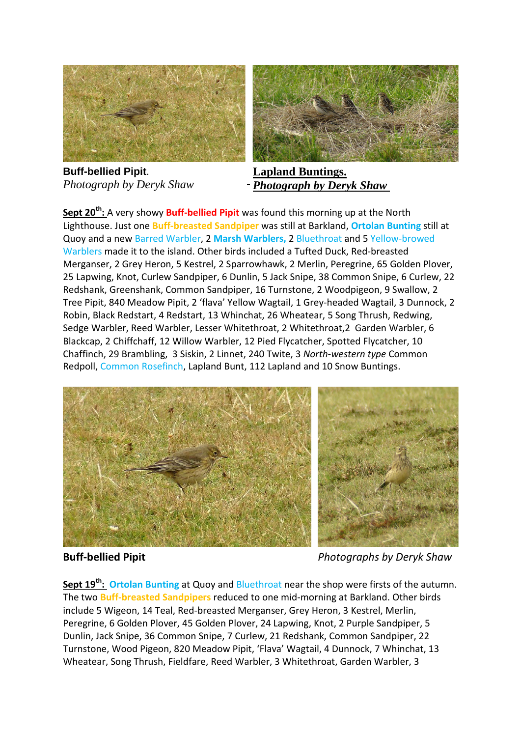

**Buff-bellied Pipit**. *Photograph by Deryk Shaw*



**Lapland Buntings.** *Photograph by Deryk Shaw*

**Sept 20th:** A very showy **Buff-bellied Pipit** was found this morning up at the North Lighthouse. Just one **Buff-breasted Sandpiper** was still at Barkland, **Ortolan Bunting** still at Quoy and a new Barred Warbler, 2 **Marsh Warblers,** 2 Bluethroat and 5 Yellow-browed Warblers made it to the island. Other birds included a Tufted Duck, Red-breasted Merganser, 2 Grey Heron, 5 Kestrel, 2 Sparrowhawk, 2 Merlin, Peregrine, 65 Golden Plover, 25 Lapwing, Knot, Curlew Sandpiper, 6 Dunlin, 5 Jack Snipe, 38 Common Snipe, 6 Curlew, 22 Redshank, Greenshank, Common Sandpiper, 16 Turnstone, 2 Woodpigeon, 9 Swallow, 2 Tree Pipit, 840 Meadow Pipit, 2 'flava' Yellow Wagtail, 1 Grey-headed Wagtail, 3 Dunnock, 2 Robin, Black Redstart, 4 Redstart, 13 Whinchat, 26 Wheatear, 5 Song Thrush, Redwing, Sedge Warbler, Reed Warbler, Lesser Whitethroat, 2 Whitethroat,2 Garden Warbler, 6 Blackcap, 2 Chiffchaff, 12 Willow Warbler, 12 Pied Flycatcher, Spotted Flycatcher, 10 Chaffinch, 29 Brambling, 3 Siskin, 2 Linnet, 240 Twite, 3 *North-western type* Common Redpoll, Common Rosefinch, Lapland Bunt, 112 Lapland and 10 Snow Buntings.



**Buff-bellied Pipit** *Photographs by Deryk Shaw*

**Sept 19th: Ortolan Bunting** at Quoy and Bluethroat near the shop were firsts of the autumn. The two **Buff-breasted Sandpipers** reduced to one mid-morning at Barkland. Other birds include 5 Wigeon, 14 Teal, Red-breasted Merganser, Grey Heron, 3 Kestrel, Merlin, Peregrine, 6 Golden Plover, 45 Golden Plover, 24 Lapwing, Knot, 2 Purple Sandpiper, 5 Dunlin, Jack Snipe, 36 Common Snipe, 7 Curlew, 21 Redshank, Common Sandpiper, 22 Turnstone, Wood Pigeon, 820 Meadow Pipit, 'Flava' Wagtail, 4 Dunnock, 7 Whinchat, 13 Wheatear, Song Thrush, Fieldfare, Reed Warbler, 3 Whitethroat, Garden Warbler, 3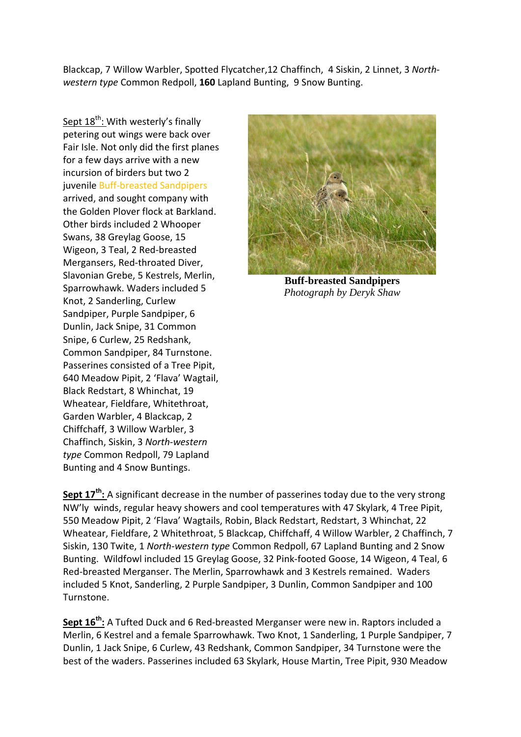Blackcap, 7 Willow Warbler, Spotted Flycatcher,12 Chaffinch, 4 Siskin, 2 Linnet, 3 *Northwestern type* Common Redpoll, **160** Lapland Bunting, 9 Snow Bunting.

Sept 18<sup>th</sup>: With westerly's finally petering out wings were back over Fair Isle. Not only did the first planes for a few days arrive with a new incursion of birders but two 2 juvenile Buff-breasted Sandpipers arrived, and sought company with the Golden Plover flock at Barkland. Other birds included 2 Whooper Swans, 38 Greylag Goose, 15 Wigeon, 3 Teal, 2 Red-breasted Mergansers, Red-throated Diver, Slavonian Grebe, 5 Kestrels, Merlin, Sparrowhawk. Waders included 5 Knot, 2 Sanderling, Curlew Sandpiper, Purple Sandpiper, 6 Dunlin, Jack Snipe, 31 Common Snipe, 6 Curlew, 25 Redshank, Common Sandpiper, 84 Turnstone. Passerines consisted of a Tree Pipit, 640 Meadow Pipit, 2 'Flava' Wagtail, Black Redstart, 8 Whinchat, 19 Wheatear, Fieldfare, Whitethroat, Garden Warbler, 4 Blackcap, 2 Chiffchaff, 3 Willow Warbler, 3 Chaffinch, Siskin, 3 *North-western type* Common Redpoll, 79 Lapland Bunting and 4 Snow Buntings.



**Buff-breasted Sandpipers** *Photograph by Deryk Shaw*

**Sept 17th:** A significant decrease in the number of passerines today due to the very strong NW'ly winds, regular heavy showers and cool temperatures with 47 Skylark, 4 Tree Pipit, 550 Meadow Pipit, 2 'Flava' Wagtails, Robin, Black Redstart, Redstart, 3 Whinchat, 22 Wheatear, Fieldfare, 2 Whitethroat, 5 Blackcap, Chiffchaff, 4 Willow Warbler, 2 Chaffinch, 7 Siskin, 130 Twite, 1 *North-western type* Common Redpoll, 67 Lapland Bunting and 2 Snow Bunting. Wildfowl included 15 Greylag Goose, 32 Pink-footed Goose, 14 Wigeon, 4 Teal, 6 Red-breasted Merganser. The Merlin, Sparrowhawk and 3 Kestrels remained. Waders included 5 Knot, Sanderling, 2 Purple Sandpiper, 3 Dunlin, Common Sandpiper and 100 Turnstone.

**Sept 16th:** A Tufted Duck and 6 Red-breasted Merganser were new in. Raptors included a Merlin, 6 Kestrel and a female Sparrowhawk. Two Knot, 1 Sanderling, 1 Purple Sandpiper, 7 Dunlin, 1 Jack Snipe, 6 Curlew, 43 Redshank, Common Sandpiper, 34 Turnstone were the best of the waders. Passerines included 63 Skylark, House Martin, Tree Pipit, 930 Meadow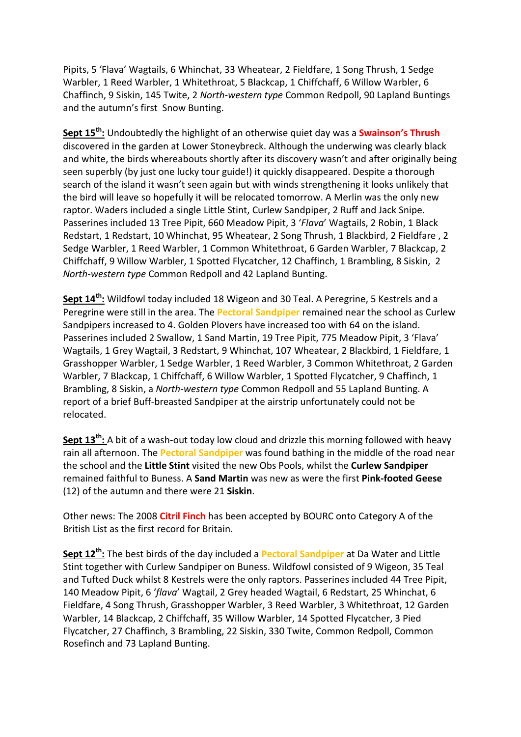Pipits, 5 'Flava' Wagtails, 6 Whinchat, 33 Wheatear, 2 Fieldfare, 1 Song Thrush, 1 Sedge Warbler, 1 Reed Warbler, 1 Whitethroat, 5 Blackcap, 1 Chiffchaff, 6 Willow Warbler, 6 Chaffinch, 9 Siskin, 145 Twite, 2 *North-western type* Common Redpoll, 90 Lapland Buntings and the autumn's first Snow Bunting.

**Sept 15th:** Undoubtedly the highlight of an otherwise quiet day was a **Swainson's Thrush** discovered in the garden at Lower Stoneybreck. Although the underwing was clearly black and white, the birds whereabouts shortly after its discovery wasn't and after originally being seen superbly (by just one lucky tour guide!) it quickly disappeared. Despite a thorough search of the island it wasn't seen again but with winds strengthening it looks unlikely that the bird will leave so hopefully it will be relocated tomorrow. A Merlin was the only new raptor. Waders included a single Little Stint, Curlew Sandpiper, 2 Ruff and Jack Snipe. Passerines included 13 Tree Pipit, 660 Meadow Pipit, 3 '*Flava*' Wagtails, 2 Robin, 1 Black Redstart, 1 Redstart, 10 Whinchat, 95 Wheatear, 2 Song Thrush, 1 Blackbird, 2 Fieldfare , 2 Sedge Warbler, 1 Reed Warbler, 1 Common Whitethroat, 6 Garden Warbler, 7 Blackcap, 2 Chiffchaff, 9 Willow Warbler, 1 Spotted Flycatcher, 12 Chaffinch, 1 Brambling, 8 Siskin, 2 *North-western type* Common Redpoll and 42 Lapland Bunting.

**Sept 14th:** Wildfowl today included 18 Wigeon and 30 Teal. A Peregrine, 5 Kestrels and a Peregrine were still in the area. The **Pectoral Sandpiper** remained near the school as Curlew Sandpipers increased to 4. Golden Plovers have increased too with 64 on the island. Passerines included 2 Swallow, 1 Sand Martin, 19 Tree Pipit, 775 Meadow Pipit, 3 'Flava' Wagtails, 1 Grey Wagtail, 3 Redstart, 9 Whinchat, 107 Wheatear, 2 Blackbird, 1 Fieldfare, 1 Grasshopper Warbler, 1 Sedge Warbler, 1 Reed Warbler, 3 Common Whitethroat, 2 Garden Warbler, 7 Blackcap, 1 Chiffchaff, 6 Willow Warbler, 1 Spotted Flycatcher, 9 Chaffinch, 1 Brambling, 8 Siskin, a *North-western type* Common Redpoll and 55 Lapland Bunting. A report of a brief Buff-breasted Sandpiper at the airstrip unfortunately could not be relocated.

**Sept 13th:** A bit of a wash-out today low cloud and drizzle this morning followed with heavy rain all afternoon. The **Pectoral Sandpiper** was found bathing in the middle of the road near the school and the **Little Stint** visited the new Obs Pools, whilst the **Curlew Sandpiper** remained faithful to Buness. A **Sand Martin** was new as were the first **Pink-footed Geese** (12) of the autumn and there were 21 **Siskin**.

Other news: The 2008 **Citril Finch** has been accepted by BOURC onto Category A of the British List as the first record for Britain.

**Sept 12th:** The best birds of the day included a **Pectoral Sandpiper** at Da Water and Little Stint together with Curlew Sandpiper on Buness. Wildfowl consisted of 9 Wigeon, 35 Teal and Tufted Duck whilst 8 Kestrels were the only raptors. Passerines included 44 Tree Pipit, 140 Meadow Pipit, 6 '*flava*' Wagtail, 2 Grey headed Wagtail, 6 Redstart, 25 Whinchat, 6 Fieldfare, 4 Song Thrush, Grasshopper Warbler, 3 Reed Warbler, 3 Whitethroat, 12 Garden Warbler, 14 Blackcap, 2 Chiffchaff, 35 Willow Warbler, 14 Spotted Flycatcher, 3 Pied Flycatcher, 27 Chaffinch, 3 Brambling, 22 Siskin, 330 Twite, Common Redpoll, Common Rosefinch and 73 Lapland Bunting.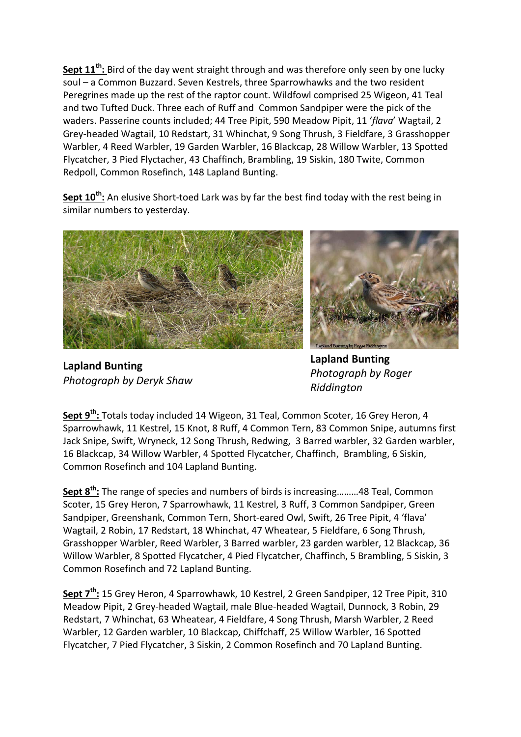**Sept 11th:** Bird of the day went straight through and was therefore only seen by one lucky soul – a Common Buzzard. Seven Kestrels, three Sparrowhawks and the two resident Peregrines made up the rest of the raptor count. Wildfowl comprised 25 Wigeon, 41 Teal and two Tufted Duck. Three each of Ruff and Common Sandpiper were the pick of the waders. Passerine counts included; 44 Tree Pipit, 590 Meadow Pipit, 11 '*flava*' Wagtail, 2 Grey-headed Wagtail, 10 Redstart, 31 Whinchat, 9 Song Thrush, 3 Fieldfare, 3 Grasshopper Warbler, 4 Reed Warbler, 19 Garden Warbler, 16 Blackcap, 28 Willow Warbler, 13 Spotted Flycatcher, 3 Pied Flyctacher, 43 Chaffinch, Brambling, 19 Siskin, 180 Twite, Common Redpoll, Common Rosefinch, 148 Lapland Bunting.

**Sept 10th:** An elusive Short-toed Lark was by far the best find today with the rest being in similar numbers to yesterday.



**Lapland Bunting** *Photograph by Deryk Shaw*



**Lapland Bunting** *Photograph by Roger Riddington*

**Sept 9th:** Totals today included 14 Wigeon, 31 Teal, Common Scoter, 16 Grey Heron, 4 Sparrowhawk, 11 Kestrel, 15 Knot, 8 Ruff, 4 Common Tern, 83 Common Snipe, autumns first Jack Snipe, Swift, Wryneck, 12 Song Thrush, Redwing, 3 Barred warbler, 32 Garden warbler, 16 Blackcap, 34 Willow Warbler, 4 Spotted Flycatcher, Chaffinch, Brambling, 6 Siskin, Common Rosefinch and 104 Lapland Bunting.

**Sept 8th:** The range of species and numbers of birds is increasing………48 Teal, Common Scoter, 15 Grey Heron, 7 Sparrowhawk, 11 Kestrel, 3 Ruff, 3 Common Sandpiper, Green Sandpiper, Greenshank, Common Tern, Short-eared Owl, Swift, 26 Tree Pipit, 4 'flava' Wagtail, 2 Robin, 17 Redstart, 18 Whinchat, 47 Wheatear, 5 Fieldfare, 6 Song Thrush, Grasshopper Warbler, Reed Warbler, 3 Barred warbler, 23 garden warbler, 12 Blackcap, 36 Willow Warbler, 8 Spotted Flycatcher, 4 Pied Flycatcher, Chaffinch, 5 Brambling, 5 Siskin, 3 Common Rosefinch and 72 Lapland Bunting.

**Sept 7th:** 15 Grey Heron, 4 Sparrowhawk, 10 Kestrel, 2 Green Sandpiper, 12 Tree Pipit, 310 Meadow Pipit, 2 Grey-headed Wagtail, male Blue-headed Wagtail, Dunnock, 3 Robin, 29 Redstart, 7 Whinchat, 63 Wheatear, 4 Fieldfare, 4 Song Thrush, Marsh Warbler, 2 Reed Warbler, 12 Garden warbler, 10 Blackcap, Chiffchaff, 25 Willow Warbler, 16 Spotted Flycatcher, 7 Pied Flycatcher, 3 Siskin, 2 Common Rosefinch and 70 Lapland Bunting.